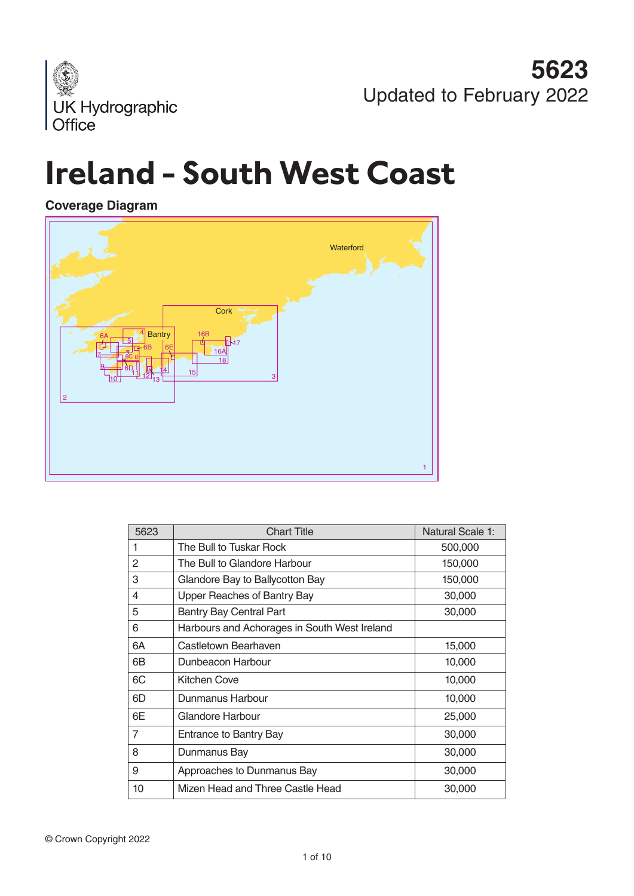

# **Ireland - South West Coast**

## **Coverage Diagram**



| 5623           | <b>Chart Title</b>                           | Natural Scale 1: |
|----------------|----------------------------------------------|------------------|
| 1              | The Bull to Tuskar Rock                      | 500,000          |
| $\overline{2}$ | The Bull to Glandore Harbour                 | 150,000          |
| 3              | Glandore Bay to Ballycotton Bay              | 150,000          |
| 4              | Upper Reaches of Bantry Bay                  | 30,000           |
| 5              | <b>Bantry Bay Central Part</b>               | 30,000           |
| 6              | Harbours and Achorages in South West Ireland |                  |
| 6A             | Castletown Bearhaven                         | 15,000           |
| 6B             | Dunbeacon Harbour                            | 10,000           |
| 6C             | Kitchen Cove                                 | 10,000           |
| 6D             | Dunmanus Harbour                             | 10,000           |
| 6E             | Glandore Harbour                             | 25,000           |
| 7              | Entrance to Bantry Bay                       | 30,000           |
| 8              | Dunmanus Bay                                 | 30,000           |
| 9              | Approaches to Dunmanus Bay                   | 30,000           |
| 10             | Mizen Head and Three Castle Head             | 30,000           |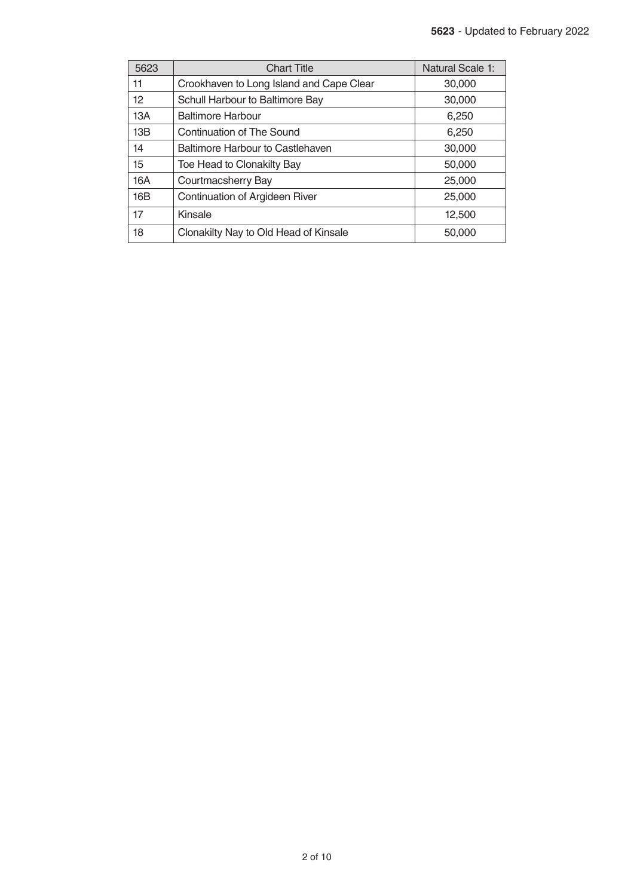| 5623 | <b>Chart Title</b>                       | <b>Natural Scale 1:</b> |
|------|------------------------------------------|-------------------------|
| 11   | Crookhaven to Long Island and Cape Clear | 30,000                  |
| 12   | Schull Harbour to Baltimore Bay          | 30,000                  |
| 13A  | Baltimore Harbour                        | 6,250                   |
| 13B  | Continuation of The Sound                | 6,250                   |
| 14   | Baltimore Harbour to Castlehaven         | 30,000                  |
| 15   | Toe Head to Clonakilty Bay               | 50,000                  |
| 16A  | Courtmacsherry Bay                       | 25,000                  |
| 16B  | Continuation of Argideen River           | 25,000                  |
| 17   | Kinsale                                  | 12,500                  |
| 18   | Clonakilty Nay to Old Head of Kinsale    | 50,000                  |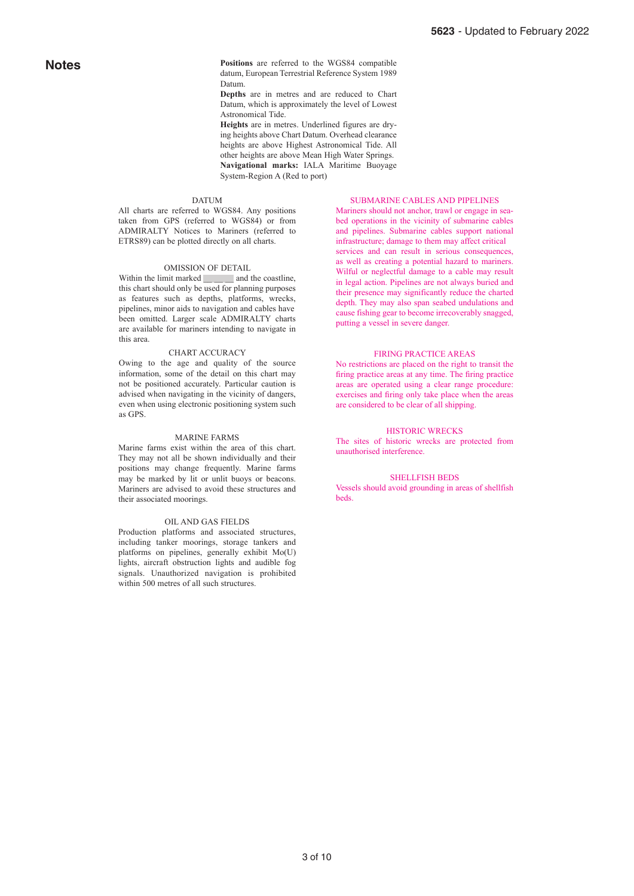**Positions** are referred to the WGS84 compatible datum, European Terrestrial Reference System 1989 Datum.

**Depths** are in metres and are reduced to Chart Datum, which is approximately the level of Lowest Astronomical Tide.

**Heights** are in metres. Underlined figures are drying heights above Chart Datum. Overhead clearance heights are above Highest Astronomical Tide. All other heights are above Mean High Water Springs. **Navigational marks:** IALA Maritime Buoyage System-Region A (Red to port)

#### DATUM

All charts are referred to WGS84. Any positions taken from GPS (referred to WGS84) or from ADMIRALTY Notices to Mariners (referred to ETRS89) can be plotted directly on all charts.

#### OMISSION OF DETAIL

Within the limit marked and the coastline, this chart should only be used for planning purposes as features such as depths, platforms, wrecks, pipelines, minor aids to navigation and cables have been omitted. Larger scale ADMIRALTY charts are available for mariners intending to navigate in this area.

#### CHART ACCURACY

Owing to the age and quality of the source information, some of the detail on this chart may not be positioned accurately. Particular caution is advised when navigating in the vicinity of dangers, even when using electronic positioning system such as GPS.

### MARINE FARMS

Marine farms exist within the area of this chart. They may not all be shown individually and their positions may change frequently. Marine farms may be marked by lit or unlit buoys or beacons. Mariners are advised to avoid these structures and their associated moorings.

#### OIL AND GAS FIELDS

Production platforms and associated structures, including tanker moorings, storage tankers and platforms on pipelines, generally exhibit Mo(U) lights, aircraft obstruction lights and audible fog signals. Unauthorized navigation is prohibited within 500 metres of all such structures.

#### SUBMARINE CABLES AND PIPELINES

Mariners should not anchor, trawl or engage in seabed operations in the vicinity of submarine cables and pipelines. Submarine cables support national infrastructure; damage to them may affect critical services and can result in serious consequences. as well as creating a potential hazard to mariners. Wilful or neglectful damage to a cable may result in legal action. Pipelines are not always buried and their presence may significantly reduce the charted depth. They may also span seabed undulations and cause fishing gear to become irrecoverably snagged, putting a vessel in severe danger.

### FIRING PRACTICE AREAS

No restrictions are placed on the right to transit the firing practice areas at any time. The firing practice areas are operated using a clear range procedure: exercises and firing only take place when the areas are considered to be clear of all shipping.

### HISTORIC WRECKS

The sites of historic wrecks are protected from unauthorised interference.

#### SHELLFISH BEDS

Vessels should avoid grounding in areas of shellfish beds.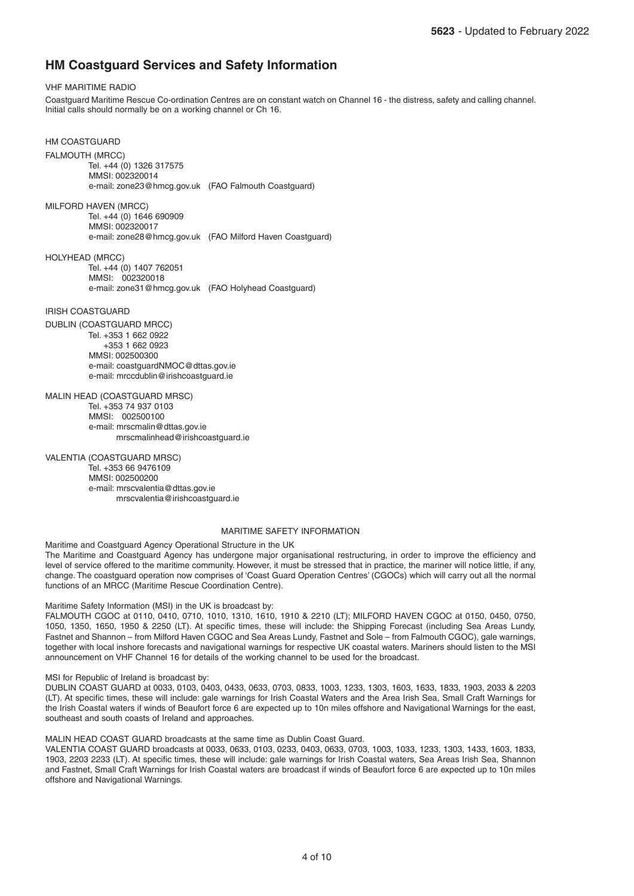### **HM Coastguard Services and Safety Information**

### VHF MARITIME RADIO

Coastguard Maritime Rescue Co-ordination Centres are on constant watch on Channel 16 - the distress, safety and calling channel. Initial calls should normally be on a working channel or Ch 16.

HM COASTGUARD FALMOUTH (MRCC) Tel. +44 (0) 1326 317575 MMSI: 002320014 e-mail: zone23@hmcg.gov.uk (FAO Falmouth Coastguard)

MILFORD HAVEN (MRCC) Tel. +44 (0) 1646 690909 MMSI: 002320017 e-mail: zone28@hmcg.gov.uk (FAO Milford Haven Coastguard)

HOLYHEAD (MRCC) Tel. +44 (0) 1407 762051 MMSI: 002320018 e-mail: zone31@hmcg.gov.uk (FAO Holyhead Coastguard)

### IRISH COASTGUARD

DUBLIN (COASTGUARD MRCC) Tel. +353 1 662 0922 +353 1 662 0923 MMSI: 002500300 e-mail: coastguardNMOC@dttas.gov.ie e-mail: mrccdublin@irishcoastguard.ie

MALIN HEAD (COASTGUARD MRSC) Tel. +353 74 937 0103 MMSI: 002500100 e-mail: mrscmalin@dttas.gov.ie mrscmalinhead@irishcoastguard.ie

### VALENTIA (COASTGUARD MRSC)

 Tel. +353 66 9476109 MMSI: 002500200 e-mail: mrscvalentia@dttas.gov.ie mrscvalentia@irishcoastguard.ie

### MARITIME SAFETY INFORMATION

Maritime and Coastguard Agency Operational Structure in the UK

The Maritime and Coastguard Agency has undergone major organisational restructuring, in order to improve the efficiency and level of service offered to the maritime community. However, it must be stressed that in practice, the mariner will notice little, if any, change. The coastguard operation now comprises of 'Coast Guard Operation Centres' (CGOCs) which will carry out all the normal functions of an MRCC (Maritime Rescue Coordination Centre).

### Maritime Safety Information (MSI) in the UK is broadcast by:

FALMOUTH CGOC at 0110, 0410, 0710, 1010, 1310, 1610, 1910 & 2210 (LT); MILFORD HAVEN CGOC at 0150, 0450, 0750, 1050, 1350, 1650, 1950 & 2250 (LT). At specific times, these will include: the Shipping Forecast (including Sea Areas Lundy, Fastnet and Shannon – from Milford Haven CGOC and Sea Areas Lundy, Fastnet and Sole – from Falmouth CGOC), gale warnings, together with local inshore forecasts and navigational warnings for respective UK coastal waters. Mariners should listen to the MSI announcement on VHF Channel 16 for details of the working channel to be used for the broadcast.

### MSI for Republic of Ireland is broadcast by:

DUBLIN COAST GUARD at 0033, 0103, 0403, 0433, 0633, 0703, 0833, 1003, 1233, 1303, 1603, 1633, 1833, 1903, 2033 & 2203 (LT). At specific times, these will include: gale warnings for Irish Coastal Waters and the Area Irish Sea, Small Craft Warnings for the Irish Coastal waters if winds of Beaufort force 6 are expected up to 10n miles offshore and Navigational Warnings for the east, southeast and south coasts of Ireland and approaches.

MALIN HEAD COAST GUARD broadcasts at the same time as Dublin Coast Guard.

VALENTIA COAST GUARD broadcasts at 0033, 0633, 0103, 0233, 0403, 0633, 0703, 1003, 1033, 1233, 1303, 1433, 1603, 1833, 1903, 2203 2233 (LT). At specific times, these will include: gale warnings for Irish Coastal waters, Sea Areas Irish Sea, Shannon and Fastnet, Small Craft Warnings for Irish Coastal waters are broadcast if winds of Beaufort force 6 are expected up to 10n miles offshore and Navigational Warnings.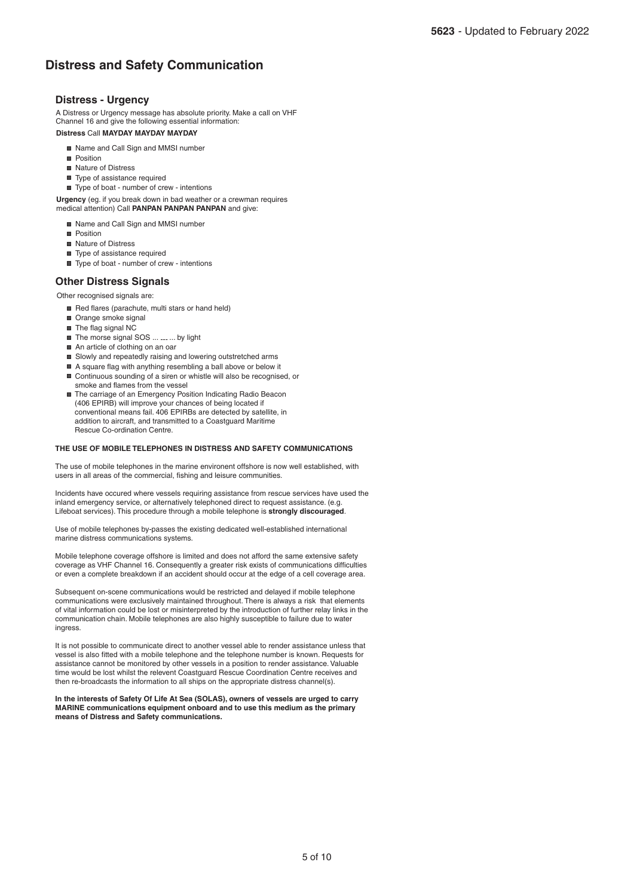### **Distress and Safety Communication**

### **Distress - Urgency**

**Distress** Call **MAYDAY MAYDAY MAYDAY** A Distress or Urgency message has absolute priority. Make a call on VHF Channel 16 and give the following essential information:

- Name and Call Sign and MMSI number
- **Position**
- Nature of Distress
- Type of assistance required
- Type of boat number of crew intentions

**Urgency** (eg. if you break down in bad weather or a crewman requires medical attention) Call **PANPAN PANPAN PANPAN** and give:

Name and Call Sign and MMSI number

- **Position**
- Nature of Distress
- Type of assistance required
- Type of boat number of crew intentions

### **Other Distress Signals**

### Other recognised signals are:

- Red flares (parachute, multi stars or hand held)
- Orange smoke signal
- The flag signal NC
- The morse signal SOS ... <sub>---</sub> ... by light
- An article of clothing on an oar
- Slowly and repeatedly raising and lowering outstretched arms
- A square flag with anything resembling a ball above or below it ■ Continuous sounding of a siren or whistle will also be recognised, or smoke and flames from the vessel
- The carriage of an Emergency Position Indicating Radio Beacon (406 EPIRB) will improve your chances of being located if conventional means fail. 406 EPIRBs are detected by satellite, in addition to aircraft, and transmitted to a Coastguard Maritime Rescue Co-ordination Centre.

### **THE USE OF MOBILE TELEPHONES IN DISTRESS AND SAFETY COMMUNICATIONS**

The use of mobile telephones in the marine environent offshore is now well established, with users in all areas of the commercial, fishing and leisure communities.

Incidents have occured where vessels requiring assistance from rescue services have used the inland emergency service, or alternatively telephoned direct to request assistance. (e.g. Lifeboat services). This procedure through a mobile telephone is **strongly discouraged**.

Use of mobile telephones by-passes the existing dedicated well-established international marine distress communications systems.

Mobile telephone coverage offshore is limited and does not afford the same extensive safety coverage as VHF Channel 16. Consequently a greater risk exists of communications difficulties or even a complete breakdown if an accident should occur at the edge of a cell coverage area.

Subsequent on-scene communications would be restricted and delayed if mobile telephone communications were exclusively maintained throughout. There is always a risk that elements of vital information could be lost or misinterpreted by the introduction of further relay links in the communication chain. Mobile telephones are also highly susceptible to failure due to water ingress.

It is not possible to communicate direct to another vessel able to render assistance unless that vessel is also fitted with a mobile telephone and the telephone number is known. Requests for assistance cannot be monitored by other vessels in a position to render assistance. Valuable time would be lost whilst the relevent Coastguard Rescue Coordination Centre receives and then re-broadcasts the information to all ships on the appropriate distress channel(s).

**In the interests of Safety Of Life At Sea (SOLAS), owners of vessels are urged to carry MARINE communications equipment onboard and to use this medium as the primary means of Distress and Safety communications.**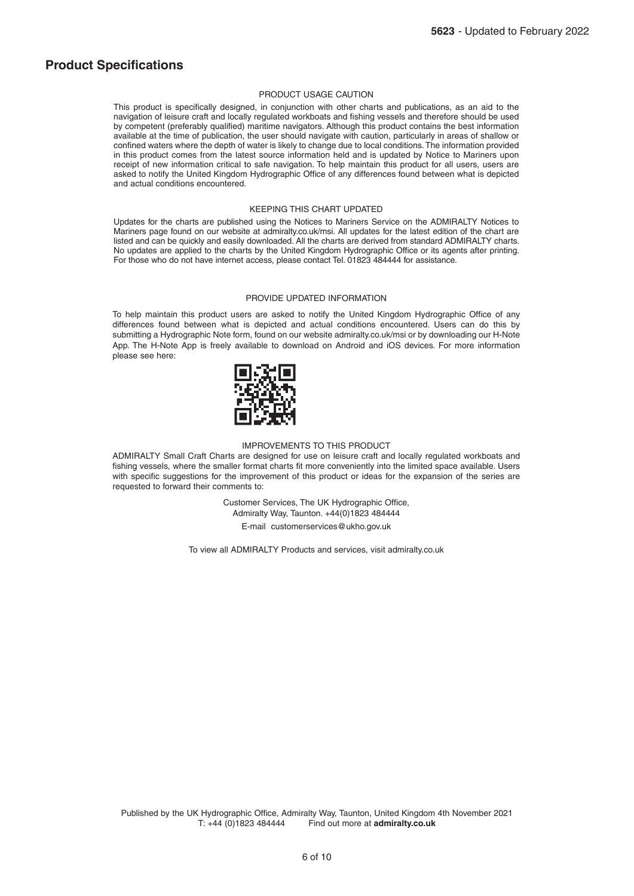### **Product Specifications**

### PRODUCT USAGE CAUTION

This product is specifically designed, in conjunction with other charts and publications, as an aid to the navigation of leisure craft and locally regulated workboats and fishing vessels and therefore should be used by competent (preferably qualified) maritime navigators. Although this product contains the best information available at the time of publication, the user should navigate with caution, particularly in areas of shallow or confined waters where the depth of water is likely to change due to local conditions. The information provided in this product comes from the latest source information held and is updated by Notice to Mariners upon receipt of new information critical to safe navigation. To help maintain this product for all users, users are asked to notify the United Kingdom Hydrographic Office of any differences found between what is depicted and actual conditions encountered.

### KEEPING THIS CHART UPDATED

Updates for the charts are published using the Notices to Mariners Service on the ADMIRALTY Notices to Mariners page found on our website at admiralty.co.uk/msi. All updates for the latest edition of the chart are listed and can be quickly and easily downloaded. All the charts are derived from standard ADMIRALTY charts. No updates are applied to the charts by the United Kingdom Hydrographic Office or its agents after printing. For those who do not have internet access, please contact Tel. 01823 484444 for assistance.

### PROVIDE UPDATED INFORMATION

To help maintain this product users are asked to notify the United Kingdom Hydrographic Office of any differences found between what is depicted and actual conditions encountered. Users can do this by submitting a Hydrographic Note form, found on our website admiralty.co.uk/msi or by downloading our H-Note App. The H-Note App is freely available to download on Android and iOS devices. For more information please see here:



#### IMPROVEMENTS TO THIS PRODUCT

ADMIRALTY Small Craft Charts are designed for use on leisure craft and locally regulated workboats and fishing vessels, where the smaller format charts fit more conveniently into the limited space available. Users with specific suggestions for the improvement of this product or ideas for the expansion of the series are requested to forward their comments to:

> Customer Services, The UK Hydrographic Office, Admiralty Way, Taunton. +44(0)1823 484444

E-mail customerservices@ukho.gov.uk

To view all ADMIRALTY Products and services, visit admiralty.co.uk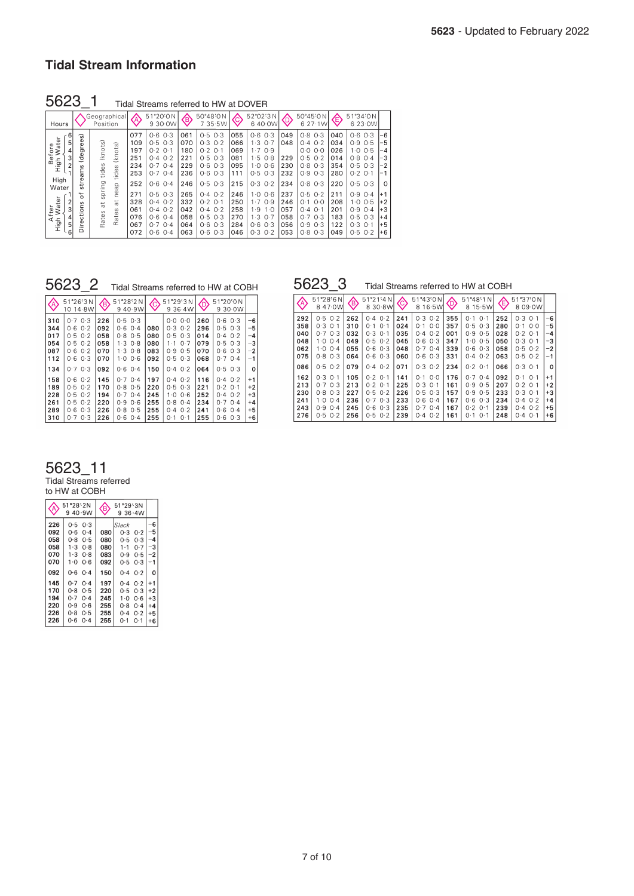### **Tidal Stream Information**

5623\_1 Tidal Streams referred to HW at DOVER

| Hours                                                          |                                                                      | Geographical<br>Position                                                             | «                                             | 51°20'0N<br>9 30 0W                                                                                         | €                                             | 50°48'0N<br>$7.35 - 5W$                                                                            | ©,                                            | 52°02'3N<br>640 0W                                                                                                      | ©                                             | 50°45'0N<br>627.1W                                                                                       |                                               | 51°34'ON<br>6 23 0W                                                                                              |                                                |
|----------------------------------------------------------------|----------------------------------------------------------------------|--------------------------------------------------------------------------------------|-----------------------------------------------|-------------------------------------------------------------------------------------------------------------|-----------------------------------------------|----------------------------------------------------------------------------------------------------|-----------------------------------------------|-------------------------------------------------------------------------------------------------------------------------|-----------------------------------------------|----------------------------------------------------------------------------------------------------------|-----------------------------------------------|------------------------------------------------------------------------------------------------------------------|------------------------------------------------|
| ater<br>5<br>Before<br>nh Wat<br>3<br>High<br>$\overline{c}$   | ଜ<br>ه<br>ه<br>degr<br>w<br>Ë                                        | (knots)<br>(knots)<br>tides<br>S<br>tides                                            | 077<br>109<br>197<br>251<br>234<br>253        | 0.3<br>0.6<br>$0.5 \, 0.3$<br>0.2<br>$O-1$<br>$0.4 \ 0.2$<br>$O-4$<br>0.7<br>0.7<br>$O-4$                   | 061<br>070<br>180<br>221<br>229<br>236        | 0.5<br>0.3<br>0.3<br>0.2<br>0.2<br>O·1<br>0.5<br>0.3<br>0.6<br>0.3<br>0.6<br>0.3                   | 055<br>066<br>069<br>081<br>095<br>111        | 0.6<br>$O-3$<br>1.3<br>$O-7$<br>$\vert \cdot 7$<br>O.9<br>$-5$<br>$O-8$<br>O 6<br>1.0<br>0.5<br>$O-3$                   | 049<br>048<br>229<br>230<br>232               | O.8<br>$O-3$<br>0.4<br>$O-2$<br>O O<br>O O<br>O·5<br>$O-2$<br>0.8<br>0.3<br>O·9<br>$O-3$                 | 040<br>034<br>026<br>014<br>354<br>280        | 0.6<br>$0-3$<br>0.9<br>0.5<br>1 · O<br>0.5<br>0.8<br>$O-4$<br>0.5<br>$O-3$<br>0.2<br>$O-1$                       | -6<br>-5<br>-4<br>-3<br>-2                     |
| High<br>Water<br>ater<br>After<br>High Wai<br>3<br>4<br>5<br>ĥ | ه<br>ىپ<br>ċ۵<br>C<br>s<br>c<br>٥.<br>سد<br>ပ<br>ω<br>Æ<br>$\bigcap$ | spring<br>neap<br>$\frac{1}{n}$<br>$\overline{a}$<br>$\omega$<br>s<br>Rate:<br>Rate: | 252<br>271<br>328<br>061<br>076<br>067<br>072 | $0.6$ $0.4$<br>$0.5 \, 0.3$<br>$0.4$ $0.2$<br>$0.4 \ 0.2$<br>0.6<br>$O-4$<br>$O-7$<br>$O-4$<br>0.6<br>$O-4$ | 246<br>265<br>332<br>042<br>058<br>064<br>063 | $O-5$<br>$O-3$<br>0.2<br>0.4<br>0.2<br>O·1<br>0.2<br>0.4<br>0.5<br>0.3<br>0.6<br>O.3<br>0.6<br>O.3 | 215<br>246<br>250<br>258<br>270<br>284<br>046 | 0.3<br>$O-2$<br>$O-6$<br>1 - O<br>1.7<br>0.9<br>∣ ∙9<br>$1 - O$<br>$\cdot$ 3<br>$O-7$<br>0.6<br>$O-3$<br>$O-3$<br>$O-2$ | 234<br>237<br>246<br>057<br>058<br>056<br>053 | 0.8<br>$O-3$<br>0.5<br>$O-2$<br>O·1<br>O O<br>0.4<br>0·1<br>$O-7$<br>$O-3$<br>O·9<br>0.3<br>O.8<br>$O-3$ | 220<br>211<br>208<br>201<br>183<br>122<br>049 | 0.5<br>$O-3$<br>0.9<br>$O-4$<br>$1 \cdot 0$<br>0.5<br>O·9<br>$O-4$<br>0.5<br>0.3<br>0.3<br>$O-1$<br>0.5<br>$O-2$ | $\Omega$<br>$+2$<br>$+3$<br>$+4$<br>$+5$<br>-6 |

| OUZJ Z<br>Tidal Streams referred to HW at COBH |                                                                                               |                                               |                                                                                     |                                               |                                                                                                    |                                               |                                                                                                     |                                                   |  |
|------------------------------------------------|-----------------------------------------------------------------------------------------------|-----------------------------------------------|-------------------------------------------------------------------------------------|-----------------------------------------------|----------------------------------------------------------------------------------------------------|-----------------------------------------------|-----------------------------------------------------------------------------------------------------|---------------------------------------------------|--|
| ◈                                              | 51°26'3N<br>10 14 8W                                                                          | <b>G</b>                                      | 51°28'2N<br>9.40.9W                                                                 | E                                             | 51°29'3N<br>9.36·4W                                                                                |                                               | 51°20'0N<br>9.30·0W                                                                                 |                                                   |  |
| 310<br>344<br>017<br>054<br>087<br>112         | 0.703<br>$0.6$ $0.2$<br>0.50.2<br>0.50.2<br>$0.6$ $0.2$<br>0.603                              | 226<br>092<br>058<br>058<br>070<br>070        | 0.503<br>0.6<br>$O-4$<br>0.8<br>0.5<br>1.308<br>1.308<br>$1.0$ 0.6                  | 080<br>080<br>080<br>083<br>092               | 0.0000<br>$0.3 \ 0.2$<br>0.5<br>0.3<br>$1 - 1$<br>0.7<br>0.9<br>0.5<br>0.503                       | 260<br>296<br>014<br>079<br>070<br>068        | 0.6<br>0.3<br>0.5<br>0.3<br>0.2<br>0.4<br>0.5<br>0.3<br>0.3<br>0.6<br>0.704                         | -6<br>$-5$<br>-4<br>-3<br>$-2$<br>$-1$            |  |
| 134<br>158<br>189<br>228<br>261<br>289<br>310  | 0.703<br>$0.6$ $0.2$<br>$0.5 \ 0.2$<br>$0.5 \ 0.2$<br>$0.5$ $0.2$<br>0.3<br>0.6<br>0.3<br>0.7 | 092<br>145<br>170<br>194<br>220<br>226<br>226 | $0.6$ $0.4$<br>0.704<br>$0.8$ 0.5<br>0.7<br>$0-4$<br>0.906<br>0.80.5<br>$0.6$ $0.4$ | 150<br>197<br>220<br>245<br>255<br>255<br>255 | $0.4 \ 0.2$<br>$0.4$ $0.2$<br>0.503<br>$1 \cdot 0$<br>0.6<br>0.8<br>0.4<br>0.2<br>0.4<br>0.1<br>О٠ | 064<br>116<br>221<br>252<br>234<br>241<br>255 | 0.503<br>$0.4 \cdot 0.2$<br>$0.2 \ 0.1$<br>0.2<br>0.4<br>$0-4$<br>0.7<br>$0-4$<br>0.6<br>0.3<br>0.6 | 0<br>$+1$<br>$+2$<br>$+3$<br>$+4$<br>$+5$<br>$+6$ |  |

5623\_2 Tidal Streams referred to HW at COBH 5623\_3 Tidal Streams referred to HW at COBH

| ◈                                      | 51°28'6N<br>47.0W<br>8                                                                  | <b>偐</b>                               | 51°21'4N<br>8 30 8 W                                                         | Ĉ                                      | 51°43'0N<br>16.5W<br>8                                                           | ⊕                                      | $51^{\circ}48'1N$<br>8 15 5 W                                                        | €                                      | 51°37'0N<br>8 09 0 W                                                                     |                                              |
|----------------------------------------|-----------------------------------------------------------------------------------------|----------------------------------------|------------------------------------------------------------------------------|----------------------------------------|----------------------------------------------------------------------------------|----------------------------------------|--------------------------------------------------------------------------------------|----------------------------------------|------------------------------------------------------------------------------------------|----------------------------------------------|
| 292<br>358<br>040<br>048<br>062<br>075 | $0.5 \ 0.2$<br>$0.3$ $0.1$<br>0.3<br>0.7<br>1 · O<br>$0-4$<br>1 · O<br>0.4<br>$0.8$ 0.3 | 262<br>310<br>032<br>049<br>055<br>064 | $0.4 \ 0.2$<br>0.1<br>O·1<br>0.3<br>0.1<br>0.5<br>0.2<br>0.6<br>0.3<br>0.603 | 241<br>024<br>035<br>045<br>048<br>060 | 0.3<br>0.2<br>0.0<br>O·1<br>0.2<br>0.4<br>0.6<br>0.3<br>0.7<br>0.4<br>0.6<br>0.3 | 355<br>357<br>001<br>347<br>339<br>331 | 0.1<br>$O-1$<br>0.5<br>0.3<br>0.9<br>0.5<br>0.5<br>$1-0$<br>0.6<br>0.3<br>0.2<br>0.4 | 252<br>280<br>028<br>050<br>058<br>063 | 0.3<br>0.1<br>O O<br>$0-1$<br>$0-2$<br>$O-1$<br>0.3<br>0.1<br>$0.5 \ 0.2$<br>$0.5 \ 0.2$ | -6<br>-5<br>-4<br>-3<br>$^{-2}$<br>-1        |
| 086                                    | $0.5$ $0.2$                                                                             | 079                                    | $0.4 \ 0.2$                                                                  | 071                                    | 0.3<br>0.2                                                                       | 234                                    | 0.2<br>0.1                                                                           | 066                                    | $0.3$ $0.1$                                                                              | $\Omega$                                     |
| 162<br>213<br>230<br>241<br>243<br>276 | $0.3$ $0.1$<br>0.703<br>$0.8$ 0.3<br>$1.0 \ 0.4$<br>O - 9<br>$0-4$<br>$0.5$ $0.2$       | 105<br>213<br>227<br>236<br>245<br>256 | $0.2 \ 0.1$<br>$0.2 \ 0.1$<br>0.50.2<br>0.703<br>0.60.3<br>$0.5$ $0.2$       | 141<br>225<br>226<br>233<br>235<br>239 | O·1<br>O O<br>0.3<br>0.1<br>0.5<br>0.3<br>0.6<br>0.4<br>0.7<br>0.4<br>0.2<br>0.4 | 176<br>161<br>157<br>167<br>167<br>161 | 0.7<br>0.4<br>0.9<br>0.5<br>0.9<br>0.5<br>0.6<br>0.3<br>0.2<br>$O-1$<br>$0.1$ $0.1$  | 092<br>207<br>233<br>234<br>239<br>248 | 0.1<br>O·1<br>$0.2$ 0.1<br>$0.3$ 0.1<br>$0.4 \ 0.2$<br>0.2<br>0.4<br>$0.4$ 0.1           | $+1$<br>$+2$<br>$+3$<br>$+4$<br>$+5$<br>$+6$ |

## 5623\_11

Tidal Streams referred to HW at COBH

|                                 | 51°28'2N<br>40.9W<br>9                                                 | <b>(B)</b>               | 51°29'3N<br>$9.36 \cdot 4W$                        |                            |                               |
|---------------------------------|------------------------------------------------------------------------|--------------------------|----------------------------------------------------|----------------------------|-------------------------------|
| 226<br>092<br>058<br>058<br>070 | 0.5<br>0.3<br>0.6<br>$0-4$<br>0.8<br>0.5<br>1.3<br>0.8<br>$1-3$<br>0.8 | 080<br>080<br>080<br>083 | <b>Slack</b><br>$0-3$<br>0.5<br>$1 \cdot 1$<br>0.9 | 0.2<br>0.3<br>0.7<br>0.5   | -6<br>-5<br>-4<br>3<br>-2     |
| 070<br>092<br>145<br>170        | 1.0<br>ი - 6<br>0.6<br>0-4<br>0.7<br>$0 - 4$<br>0.8<br>0-5             | 092<br>150<br>197<br>220 | 0.5<br>$0-4$<br>$0-4$<br>0.5                       | 0-3<br>0.2<br>0.2<br>0.3   | 0<br>$^{\mathrm{+1}}$<br>$+2$ |
| 194<br>220<br>226<br>226        | 0.7<br>$0-4$<br>0.9<br>ი 6<br>0.8<br>0.5<br>0.6<br>0.4                 | 245<br>255<br>255<br>255 | 1.0<br>0.8<br>0.4<br>0-1                           | 0.6<br>$0-4$<br>0.2<br>0-1 | $+3$<br>$+4$<br>$+5$<br>$+6$  |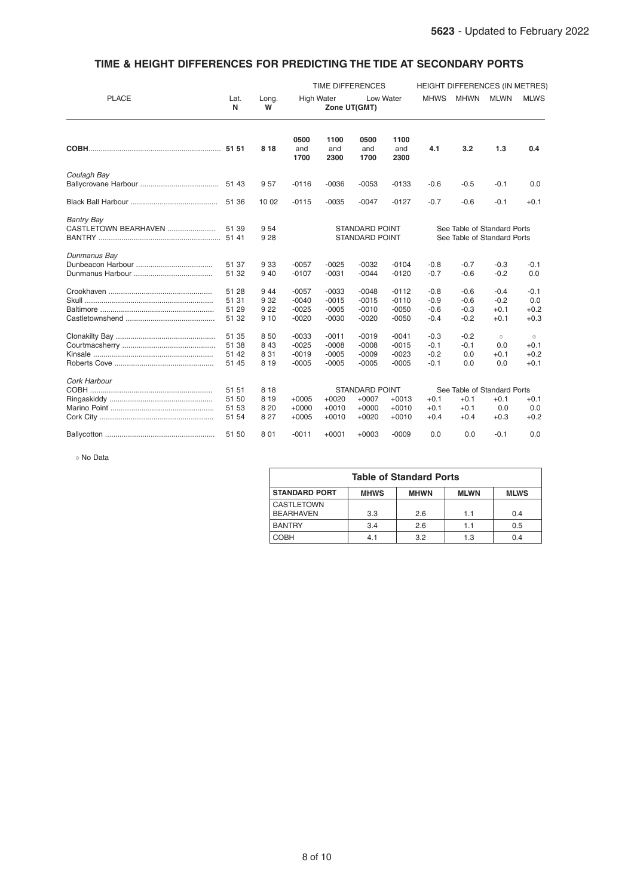### TIME & HEIGHT DIFFERENCES FOR PREDICTING THE TIDE AT SECONDARY PORTS

|                      |           |            | TIME DIFFERENCES                               |                     |                       |                     | <b>HEIGHT DIFFERENCES (IN METRES)</b> |                             |             |             |
|----------------------|-----------|------------|------------------------------------------------|---------------------|-----------------------|---------------------|---------------------------------------|-----------------------------|-------------|-------------|
| <b>PLACE</b>         | Lat.<br>N | Long.<br>W | <b>High Water</b><br>Low Water<br>Zone UT(GMT) |                     |                       |                     | <b>MHWS</b>                           | <b>MHWN</b>                 | <b>MLWN</b> | <b>MLWS</b> |
|                      |           | 8 1 8      | 0500<br>and<br>1700                            | 1100<br>and<br>2300 | 0500<br>and<br>1700   | 1100<br>and<br>2300 | 4.1                                   | 3.2                         | 1.3         | 0.4         |
| Coulagh Bay          |           |            |                                                |                     |                       |                     |                                       |                             |             |             |
|                      | 51 43     | 957        | $-0116$                                        | $-0036$             | $-0053$               | $-0133$             | $-0.6$                                | $-0.5$                      | $-0.1$      | 0.0         |
|                      | 51 36     | 10 02      | $-0115$                                        | $-0035$             | $-0047$               | $-0127$             | $-0.7$                                | $-0.6$                      | $-0.1$      | $+0.1$      |
| <b>Bantry Bay</b>    |           |            |                                                |                     |                       |                     |                                       |                             |             |             |
| CASTLETOWN BEARHAVEN | 51 39     | 9 5 4      |                                                |                     | <b>STANDARD POINT</b> |                     |                                       | See Table of Standard Ports |             |             |
|                      | 51 41     | 9 2 8      |                                                |                     | <b>STANDARD POINT</b> |                     | See Table of Standard Ports           |                             |             |             |
| Dunmanus Bay         |           |            |                                                |                     |                       |                     |                                       |                             |             |             |
|                      | 51 37     | 9 3 3      | $-0057$                                        | $-0025$             | $-0032$               | $-0104$             | $-0.8$                                | $-0.7$                      | $-0.3$      | $-0.1$      |
|                      | 51 32     | 9 4 0      | $-0107$                                        | $-0031$             | $-0044$               | $-0120$             | $-0.7$                                | $-0.6$                      | $-0.2$      | 0.0         |
|                      | 51 28     | 944        | $-0057$                                        | $-0033$             | $-0048$               | $-0112$             | $-0.8$                                | $-0.6$                      | $-0.4$      | $-0.1$      |
|                      | 51 31     | 9 3 2      | $-0040$                                        | $-0015$             | $-0015$               | $-0110$             | $-0.9$                                | $-0.6$                      | $-0.2$      | 0.0         |
|                      | 51 29     | 9 2 2      | $-0025$                                        | $-0005$             | $-0010$               | $-0050$             | $-0.6$                                | $-0.3$                      | $+0.1$      | $+0.2$      |
|                      | 51 32     | 9 10       | $-0020$                                        | $-0030$             | $-0020$               | $-0050$             | $-0.4$                                | $-0.2$                      | $+0.1$      | $+0.3$      |
|                      | 51 35     | 8 50       | $-0033$                                        | $-0011$             | $-0019$               | $-0041$             | $-0.3$                                | $-0.2$                      | $_{\odot}$  | $_{\odot}$  |
|                      | 51 38     | 8 4 3      | $-0025$                                        | $-0008$             | $-0008$               | $-0015$             | $-0.1$                                | $-0.1$                      | 0.0         | $+0.1$      |
|                      | 51 42     | 8 3 1      | $-0019$                                        | $-0005$             | $-0009$               | $-0023$             | $-0.2$                                | 0.0                         | $+0.1$      | $+0.2$      |
|                      | 51 45     | 8 1 9      | $-0005$                                        | $-0005$             | $-0005$               | $-0005$             | $-0.1$                                | 0.0                         | 0.0         | $+0.1$      |
| Cork Harbour         |           |            |                                                |                     |                       |                     |                                       |                             |             |             |
|                      | 51 51     | 8 1 8      |                                                |                     | <b>STANDARD POINT</b> |                     |                                       | See Table of Standard Ports |             |             |
|                      | 51 50     | 8 1 9      | $+0005$                                        | $+0020$             | $+0007$               | $+0013$             | $+0.1$                                | $+0.1$                      | $+0.1$      | $+0.1$      |
|                      | 51 53     | 8 2 0      | $+0000$                                        | $+0010$             | $+0000$               | $+0010$             | $+0.1$                                | $+0.1$                      | 0.0         | 0.0         |
|                      | 51 54     | 8 2 7      | $+0005$                                        | $+0010$             | $+0020$               | $+0010$             | $+0.4$                                | $+0.4$                      | $+0.3$      | $+0.2$      |
|                      | 51 50     | 8 0 1      | $-0011$                                        | $+0001$             | $+0003$               | $-0009$             | 0.0                                   | 0.0                         | $-0.1$      | 0.0         |

No Data

| <b>Table of Standard Ports</b>                                                   |     |     |     |     |  |  |  |  |  |
|----------------------------------------------------------------------------------|-----|-----|-----|-----|--|--|--|--|--|
| <b>STANDARD PORT</b><br><b>MHWS</b><br><b>MHWN</b><br><b>MLWN</b><br><b>MLWS</b> |     |     |     |     |  |  |  |  |  |
| <b>CASTLETOWN</b><br><b>BEARHAVEN</b>                                            | 3.3 | 2.6 | 1.1 | 0.4 |  |  |  |  |  |
| <b>BANTRY</b>                                                                    | 3.4 | 2.6 | 1.1 | 0.5 |  |  |  |  |  |
| COBH                                                                             | 4.1 | 3.2 | 1.3 | 0.4 |  |  |  |  |  |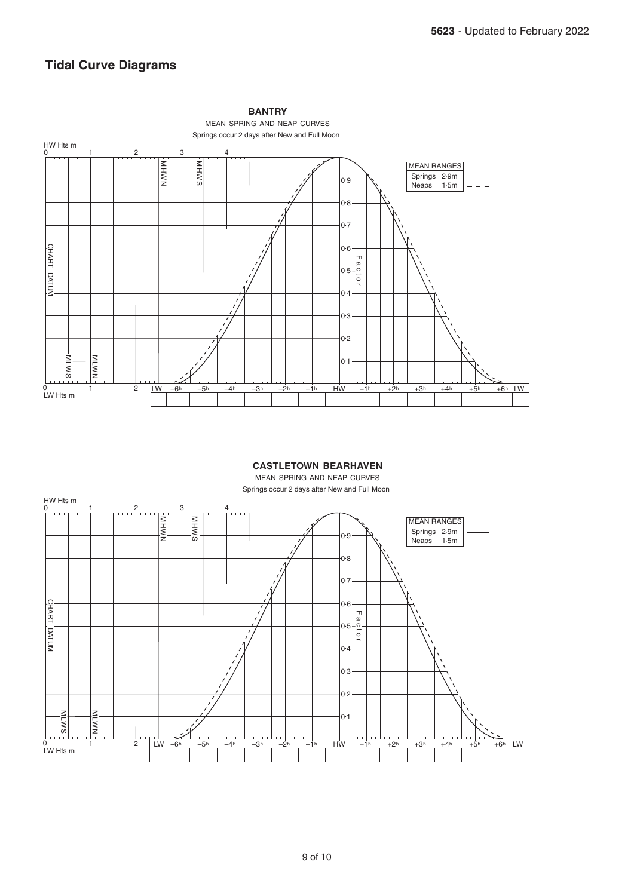### **Tidal Curve Diagrams**



### **CASTLETOWN BEARHAVEN**

MEAN SPRING AND NEAP CURVES